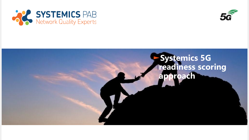



# ►**Systemics 5G readiness scoring approach**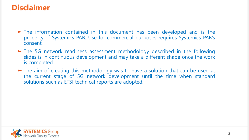## **Disclaimer**

- ► The information contained in this document has been developed and is the property of Systemics-PAB. Use for commercial purposes requires Systemics-PAB's consent.
- ► The 5G network readiness assessment methodology described in the following slides is in continuous development and may take a different shape once the work is completed.
- ► The aim of creating this methodology was to have a solution that can be used at the current stage of 5G network development until the time when standard solutions such as ETSI technical reports are adopted.

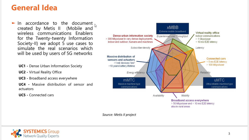#### **General Idea**

- ► In accordance to the document created by Metis II (Mobile and wireless communications Enablers for the Twenty-twenty Information Society-II) we adopt 5 use cases to simulate the real scenarios which will be used by users of 5G networks
	- **UC1 -** Dense Urban Information Society
	- **UC2 -** Virtual Reality Office
	- **UC3 -** Broadband access everywhere
	- **UC4 -** Massive distribution of sensor and actuators

**UC5 -** Connected cars



*Source: Metis II project*

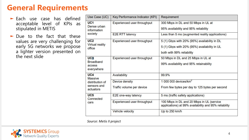## **General Requirements**

- ► Each use case has defined acceptable level of KPIs as stipulated in METIS
- ► Due to the fact that these values are very challenging for early 5G networks we propose a lighter version presented on the next slide

| Use Case (UC)                                       | Key Performance Indicator (KPI) | Requirement                                                                                                               |  |
|-----------------------------------------------------|---------------------------------|---------------------------------------------------------------------------------------------------------------------------|--|
| UC <sub>1</sub><br>Dense urban<br>information       | Experienced user throughput     | 300 Mbps in DL and 50 Mbps in UL at<br>95% availability and 95% reliability                                               |  |
| society                                             | <b>E2E RTT latency</b>          | Less than 5 ms (augmented reality applications)                                                                           |  |
| UC <sub>2</sub><br><b>Virtual reality</b><br>office | Experienced user throughput     | 5 (1) Gbps with 20% (95%) availability in DL<br>5 (1) Gbps with 20% (95%) availability in UL<br>both with 99% reliability |  |
| UC3<br><b>Broadband</b><br>access<br>everywhere     | Experienced user throughput     | 50 Mbps in DL and 25 Mbps in UL at<br>99% availability and 95% retainability                                              |  |
| UC4<br><b>Massive</b>                               | Availability                    | 99.9%                                                                                                                     |  |
| distribution of                                     | Device density                  | $1000000$ devices/km <sup>2</sup>                                                                                         |  |
| sensors and<br>actuators                            | Traffic volume per device       | From few bytes per day to 125 bytes per second                                                                            |  |
| UC <sub>5</sub><br>Connected                        | E2E one-way latency             | 5 ms (traffic safety applications)                                                                                        |  |
| cars                                                | Experienced user throughput     | 100 Mbps in DL and 20 Mbps in UL (service<br>applications) at 99% availability and 95% reliability                        |  |
|                                                     | Vehicle velocity                | Up to 250 km/h                                                                                                            |  |

*Source: Metis II project*

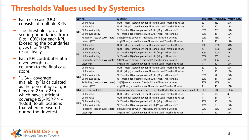# **Thresholds Values used by Systemics**

- ► Each use case (UC) consists of multiple KPIs
- ► The thresholds provide scoring boundaries (from 0 to 100%) for each KPI. Exceeding the boundaries gives 0 or 100% respectively.
- ► Each KPI contributes at a given weight (last column) to the final case score.
- ► "UC4 coverage availability" is calculated as the percentage of grid bins (ex. 25m x 25m) which have sufficient coverage (SS -RSRP > - 100dB) to all locations that where measured during the drivetest .

| UC# KPI         |                                    | <b>Meaning</b>                                                             |        |             | Threshold1 Threshold2 Weight in UC |
|-----------------|------------------------------------|----------------------------------------------------------------------------|--------|-------------|------------------------------------|
|                 | DL Thr value                       | DL thr [Mbps] scored between Threshold1 and Threshold1 values              | 50     | 360         | 25%                                |
|                 | UL Thr value                       | UL thr [Mbps] scored between Threshold1 and Threshold1 values              | 10     | 60          | 15%                                |
| UC1             | DL Thr availability                | % (Threshold1) of samples with DL thr [Mbps] >Threshold2                   | 80%    | 288         | 25%                                |
|                 | UL Thr availability                | % (Threshold1) of samples with UL thr [Mbps] >Threshold2                   | 60%    | 36          | 15%                                |
|                 | Reliability (session success rate) | SR [%] scored between Threshold1 and Threshold1 values                     | 90%    | 96%         | 5%                                 |
|                 | Latency (RTT)                      | avg RTT [ms] scored between Threshold1 and Threshold1 values               | 4      | 40          | 15%                                |
| UC <sub>2</sub> | DL Thr value                       | DL thr [Mbps] scored between Threshold1 and Threshold1 values              | 200    | 6000        | 30%                                |
|                 | UL Thr value                       | UL thr [Mbps] scored between Threshold1 and Threshold1 values              | 40     | 1200        | 30%                                |
|                 | DL Thr availability                | % (Threshold1) of samples with DL thr [Mbps] >Threshold2                   | 50%    | 3000        | 5%                                 |
|                 | UL Thr availability                | % (Threshold1) of samples with UL thr [Mbps] >Threshold2                   | 50%    | 600         | 5%                                 |
|                 | Reliability (session success rate) | SR [%] scored between Threshold1 and Threshold1 values                     | 90%    | 96%         | 5%                                 |
|                 | Latency (RTT)                      | avg RTT [ms] scored between Threshold1 and Threshold1 values               | 4      | 40          | 25%                                |
|                 | DL Thr value                       | DL thr [Mbps] scored between Threshold1 and Threshold1 values              | 10     | 60          | 20%                                |
|                 | UL Thr value                       | UL thr [Mbps] scored between Threshold1 and Threshold1 values              | 5      | 30          | 10%                                |
| UC3             | DL Thr availability                | % (Threshold1) of samples with DL thr [Mbps] >Threshold2                   | 90%    | 54          | 25%                                |
|                 | UL Thr availability                | % (Threshold1) of samples with UL thr [Mbps] >Threshold2                   | 80%    | 24          | 20%                                |
|                 | Reliability (session success rate) | SR [%] scored between Threshold1 and Threshold1 values                     | 90%    | 96%         | 5%                                 |
|                 | Latency (RTT)                      | avg RTT [ms] scored between Threshold1 and Threshold1 values               | 4      | 40          | 20%                                |
|                 | <b>UC4</b> Coverage availability   | (samples with 5G coverage above Threshold1 [dBm]) / (all measured samples) | $-100$ | <b>NULL</b> | 100%                               |
| <b>UC5</b>      | DL Thr value                       | DL thr [Mbps] scored between Threshold1 and Threshold1 values              | 20     | 120         | 8%                                 |
|                 | UL Thr value                       | UL thr[Mbps] scored between Threshold1 and Threshold1 values               | 4      | 24          | 7%                                 |
|                 | DL Thr availability                | % (Threshold1) of samples with DL thr [Mbps] >Threshold2                   | 25%    | 30          | 20%                                |
|                 | UL Thr availability                | % (Threshold1) of samples with UL th [Mbps] r>Threshold2                   | 25%    | 6           | 15%                                |
|                 | Reliability (session success rate) | SR [%] scored between Threshold1 and Threshold1 values                     | 90%    | 96%         | 25%                                |
|                 | Latency (RTT)                      | avg RTT [ms] scored between Threshold1 and Threshold1 values               | 4      | 40          | 25%                                |

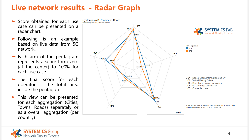# **Live network results - Radar Graph**

- ► Score obtained for each use case can be presented on a radar chart .
- ► Following is an example based on live data from 5 G network .
- ► Each arm of the pentagram represents a score form zero (at the center) to 100 % for each use case
- ► The final score for each operator is the total area inside the pentagon
- ► This view can be presented for each aggregation (Cities, Towns, Roads) separately or as a overall aggregation (per country)



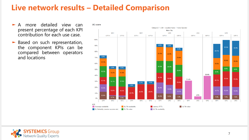## **Live network results – Detailed Comparison**

- ► A more detailed view can present percentage of each KPI contribution for each use case.
- ► Based on such representation, the component KPIs can be compared between operators and locations